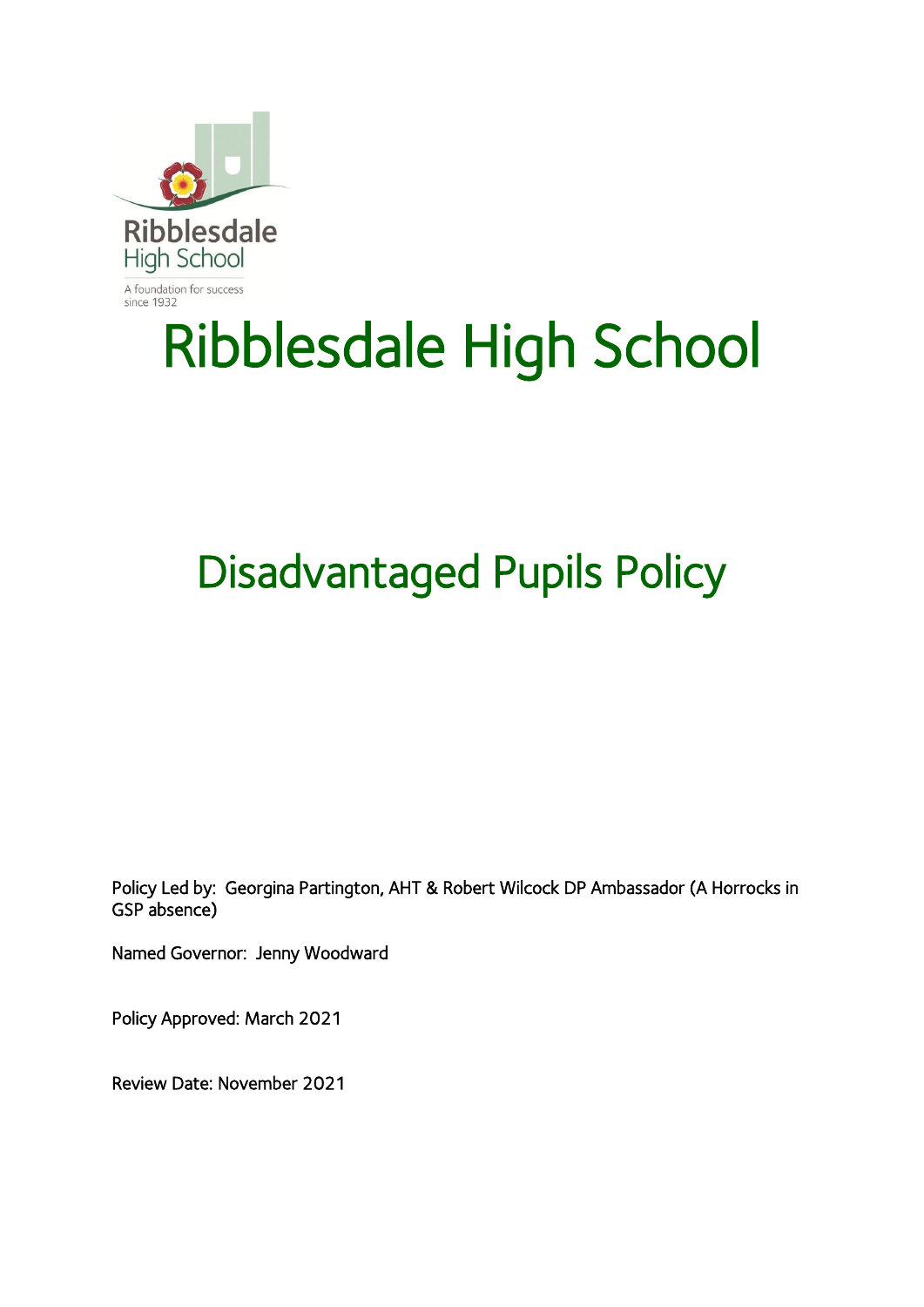

# Ribblesdale High School

## Disadvantaged Pupils Policy

Policy Led by: Georgina Partington, AHT & Robert Wilcock DP Ambassador (A Horrocks in GSP absence)

Named Governor: Jenny Woodward

Policy Approved: March 2021

Review Date: November 2021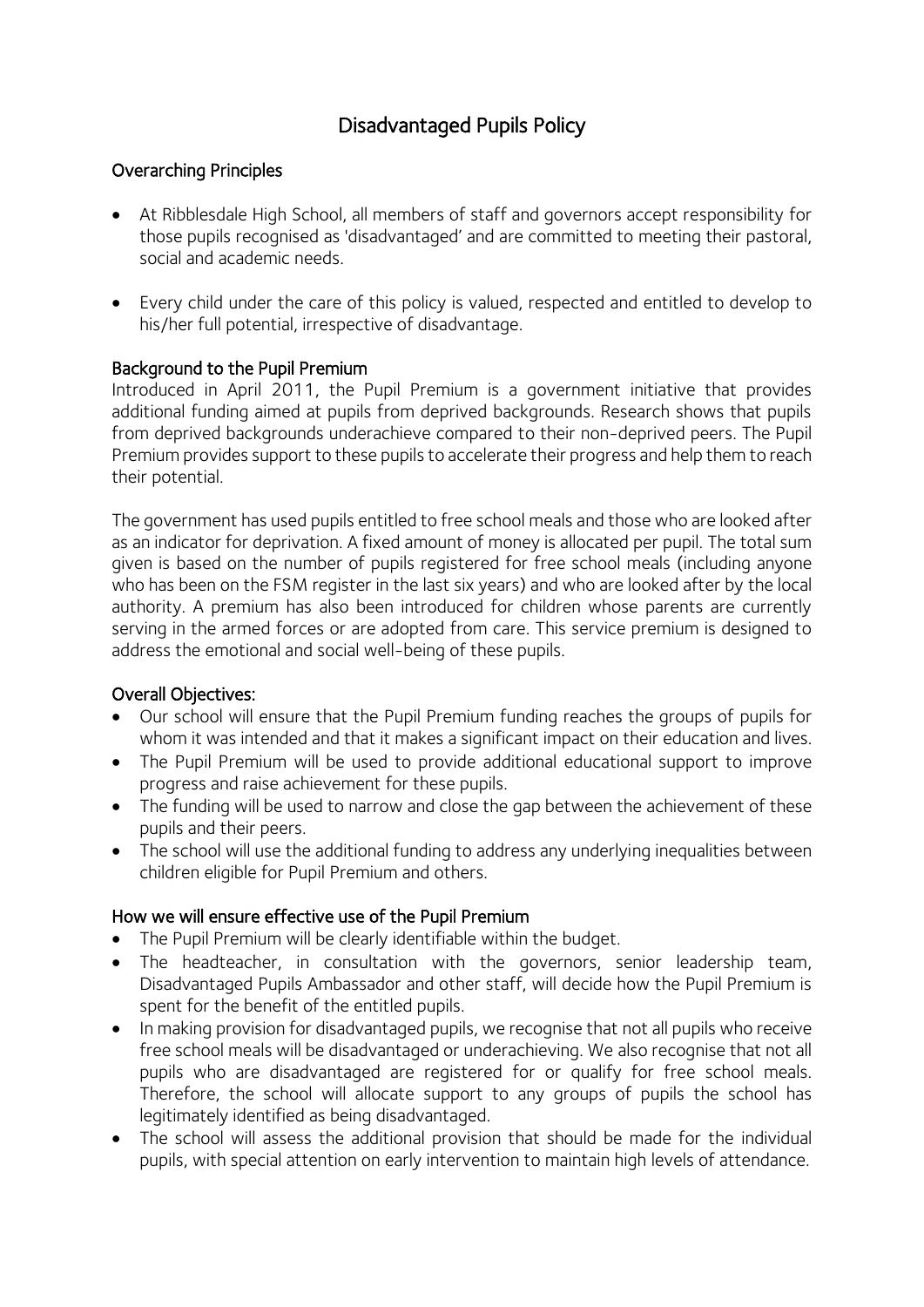### Disadvantaged Pupils Policy

#### Overarching Principles

- At Ribblesdale High School, all members of staff and governors accept responsibility for those pupils recognised as 'disadvantaged' and are committed to meeting their pastoral, social and academic needs.
- Every child under the care of this policy is valued, respected and entitled to develop to his/her full potential, irrespective of disadvantage.

#### Background to the Pupil Premium

Introduced in April 2011, the Pupil Premium is a government initiative that provides additional funding aimed at pupils from deprived backgrounds. Research shows that pupils from deprived backgrounds underachieve compared to their non-deprived peers. The Pupil Premium provides support to these pupils to accelerate their progress and help them to reach their potential.

The government has used pupils entitled to free school meals and those who are looked after as an indicator for deprivation. A fixed amount of money is allocated per pupil. The total sum given is based on the number of pupils registered for free school meals (including anyone who has been on the FSM register in the last six years) and who are looked after by the local authority. A premium has also been introduced for children whose parents are currently serving in the armed forces or are adopted from care. This service premium is designed to address the emotional and social well-being of these pupils.

#### Overall Objectives:

- Our school will ensure that the Pupil Premium funding reaches the groups of pupils for whom it was intended and that it makes a significant impact on their education and lives.
- The Pupil Premium will be used to provide additional educational support to improve progress and raise achievement for these pupils.
- The funding will be used to narrow and close the gap between the achievement of these pupils and their peers.
- The school will use the additional funding to address any underlying inequalities between children eligible for Pupil Premium and others.

#### How we will ensure effective use of the Pupil Premium

- The Pupil Premium will be clearly identifiable within the budget.
- The headteacher, in consultation with the governors, senior leadership team, Disadvantaged Pupils Ambassador and other staff, will decide how the Pupil Premium is spent for the benefit of the entitled pupils.
- In making provision for disadvantaged pupils, we recognise that not all pupils who receive free school meals will be disadvantaged or underachieving. We also recognise that not all pupils who are disadvantaged are registered for or qualify for free school meals. Therefore, the school will allocate support to any groups of pupils the school has legitimately identified as being disadvantaged.
- The school will assess the additional provision that should be made for the individual pupils, with special attention on early intervention to maintain high levels of attendance.